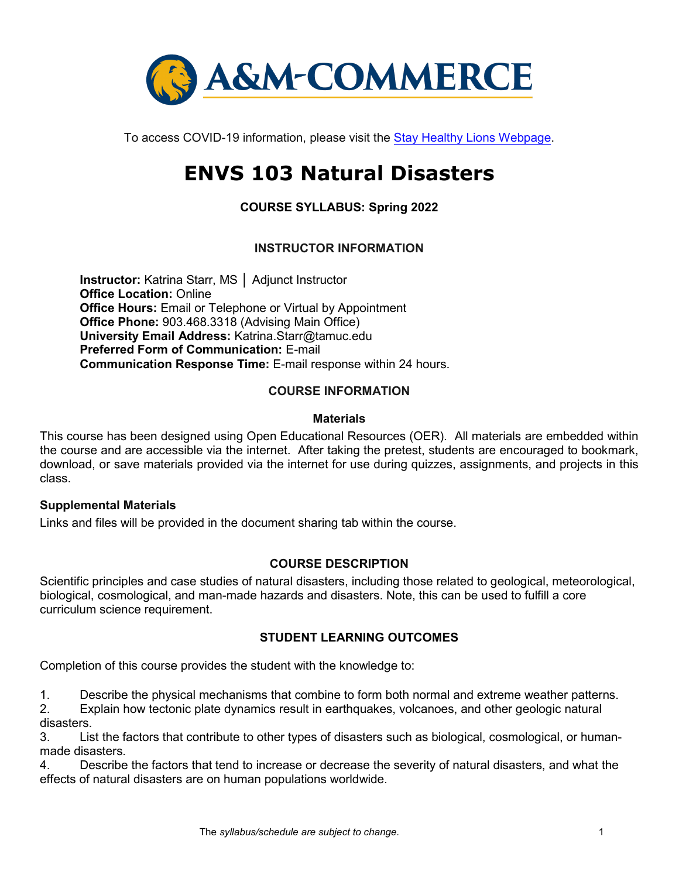

To access COVID-19 information, please visit the [Stay Healthy Lions](https://new.tamuc.edu/coronavirus/) Webpage.

# **ENVS 103 Natural Disasters**

**COURSE SYLLABUS: Spring 2022**

# **INSTRUCTOR INFORMATION**

**Instructor:** Katrina Starr, MS │ Adjunct Instructor **Office Location: Online Office Hours: Email or Telephone or Virtual by Appointment Office Phone:** 903.468.3318 (Advising Main Office) **University Email Address:** Katrina.Starr@tamuc.edu **Preferred Form of Communication:** E-mail **Communication Response Time:** E-mail response within 24 hours.

#### **COURSE INFORMATION**

#### **Materials**

This course has been designed using Open Educational Resources (OER). All materials are embedded within the course and are accessible via the internet. After taking the pretest, students are encouraged to bookmark, download, or save materials provided via the internet for use during quizzes, assignments, and projects in this class.

#### **Supplemental Materials**

Links and files will be provided in the document sharing tab within the course.

# **[COURSE DESCRIPTION](http://catalog.tamuc.edu/undergrad/colleges-and-departments/college-of-innovation-design/baas-organizational-leadership/?_ga=2.81546143.928332977.1616426723-584154711.1595512675)**

Scientific principles and case studies of natural disasters, including those related to geological, meteorological, biological, cosmological, and man-made hazards and disasters. Note, this can be used to fulfill a core curriculum science requirement.

# **STUDENT LEARNING OUTCOMES**

Completion of this course provides the student with the knowledge to:

1. Describe the physical mechanisms that combine to form both normal and extreme weather patterns.

2. Explain how tectonic plate dynamics result in earthquakes, volcanoes, and other geologic natural disasters.

3. List the factors that contribute to other types of disasters such as biological, cosmological, or humanmade disasters.

4. Describe the factors that tend to increase or decrease the severity of natural disasters, and what the effects of natural disasters are on human populations worldwide.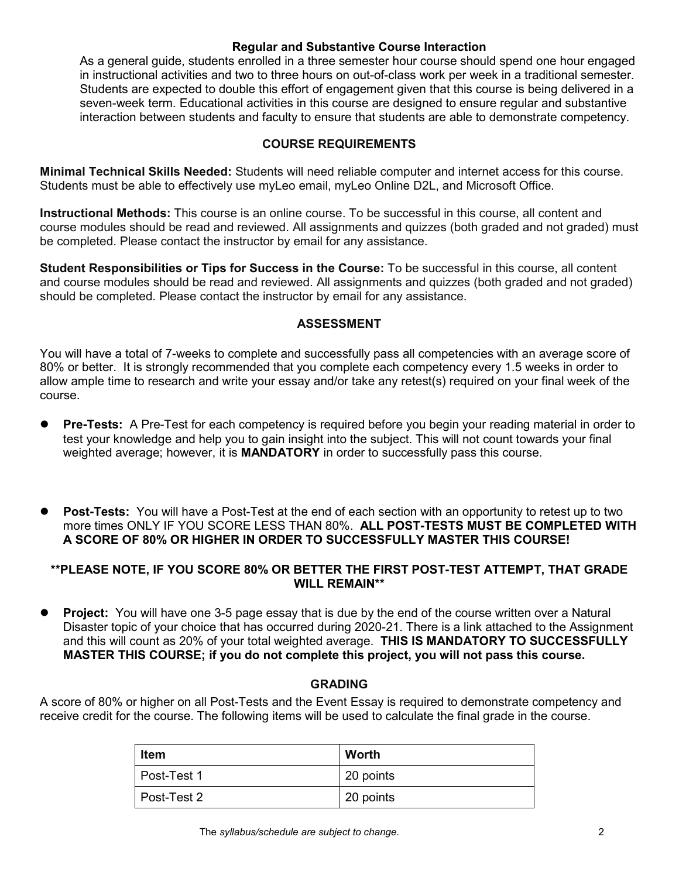#### **Regular and Substantive Course Interaction**

As a general guide, students enrolled in a three semester hour course should spend one hour engaged in instructional activities and two to three hours on out-of-class work per week in a traditional semester. Students are expected to double this effort of engagement given that this course is being delivered in a seven-week term. Educational activities in this course are designed to ensure regular and substantive interaction between students and faculty to ensure that students are able to demonstrate competency.

#### **COURSE REQUIREMENTS**

**Minimal Technical Skills Needed:** Students will need reliable computer and internet access for this course. Students must be able to effectively use myLeo email, myLeo Online D2L, and Microsoft Office.

**Instructional Methods:** This course is an online course. To be successful in this course, all content and course modules should be read and reviewed. All assignments and quizzes (both graded and not graded) must be completed. Please contact the instructor by email for any assistance.

**Student Responsibilities or Tips for Success in the Course:** To be successful in this course, all content and course modules should be read and reviewed. All assignments and quizzes (both graded and not graded) should be completed. Please contact the instructor by email for any assistance.

#### **ASSESSMENT**

You will have a total of 7-weeks to complete and successfully pass all competencies with an average score of 80% or better. It is strongly recommended that you complete each competency every 1.5 weeks in order to allow ample time to research and write your essay and/or take any retest(s) required on your final week of the course.

- **Pre-Tests:** A Pre-Test for each competency is required before you begin your reading material in order to test your knowledge and help you to gain insight into the subject. This will not count towards your final weighted average; however, it is **MANDATORY** in order to successfully pass this course.
- **Post-Tests:** You will have a Post-Test at the end of each section with an opportunity to retest up to two more times ONLY IF YOU SCORE LESS THAN 80%. **ALL POST-TESTS MUST BE COMPLETED WITH A SCORE OF 80% OR HIGHER IN ORDER TO SUCCESSFULLY MASTER THIS COURSE!**

## **\*\*PLEASE NOTE, IF YOU SCORE 80% OR BETTER THE FIRST POST-TEST ATTEMPT, THAT GRADE WILL REMAIN\*\***

 **Project:** You will have one 3-5 page essay that is due by the end of the course written over a Natural Disaster topic of your choice that has occurred during 2020-21. There is a link attached to the Assignment and this will count as 20% of your total weighted average. **THIS IS MANDATORY TO SUCCESSFULLY MASTER THIS COURSE; if you do not complete this project, you will not pass this course.**

#### **GRADING**

A score of 80% or higher on all Post-Tests and the Event Essay is required to demonstrate competency and receive credit for the course. The following items will be used to calculate the final grade in the course.

| <b>Item</b> | Worth     |
|-------------|-----------|
| Post-Test 1 | 20 points |
| Post-Test 2 | 20 points |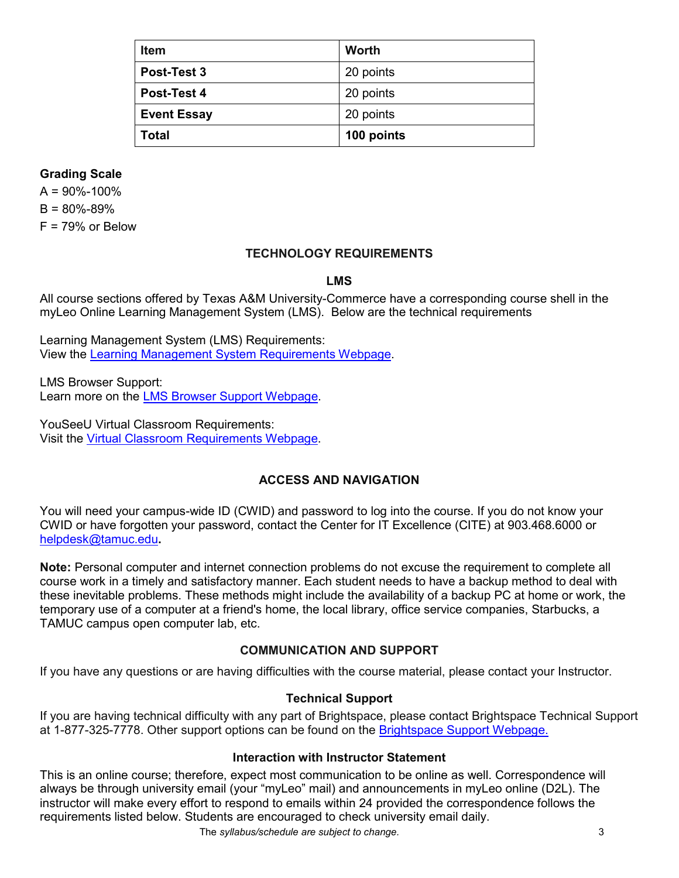| <b>Item</b>        | Worth      |
|--------------------|------------|
| Post-Test 3        | 20 points  |
| <b>Post-Test 4</b> | 20 points  |
| <b>Event Essay</b> | 20 points  |
| Total              | 100 points |

## **Grading Scale**

 $A = 90\% - 100\%$  $B = 80\% - 89\%$  $F = 79%$  or Below

# **TECHNOLOGY REQUIREMENTS**

#### **LMS**

All course sections offered by Texas A&M University-Commerce have a corresponding course shell in the myLeo Online Learning Management System (LMS). Below are the technical requirements

Learning Management System (LMS) Requirements: View the [Learning Management System Requirements Webpage](https://community.brightspace.com/s/article/Brightspace-Platform-Requirements).

LMS Browser Support: Learn more on the [LMS Browser Support Webpage](https://documentation.brightspace.com/EN/brightspace/requirements/all/browser_support.htm).

YouSeeU Virtual Classroom Requirements: Visit the [Virtual Classroom Requirements Webpage](https://support.youseeu.com/hc/en-us/articles/115007031107-Basic-System-Requirements).

# **ACCESS AND NAVIGATION**

You will need your campus-wide ID (CWID) and password to log into the course. If you do not know your CWID or have forgotten your password, contact the Center for IT Excellence (CITE) at 903.468.6000 or [helpdesk@tamuc.edu](mailto:helpdesk@tamuc.edu)**.** 

**Note:** Personal computer and internet connection problems do not excuse the requirement to complete all course work in a timely and satisfactory manner. Each student needs to have a backup method to deal with these inevitable problems. These methods might include the availability of a backup PC at home or work, the temporary use of a computer at a friend's home, the local library, office service companies, Starbucks, a TAMUC campus open computer lab, etc.

#### **COMMUNICATION AND SUPPORT**

If you have any questions or are having difficulties with the course material, please contact your Instructor.

#### **Technical Support**

If you are having technical difficulty with any part of Brightspace, please contact Brightspace Technical Support at 1-877-325-7778. Other support options can be found on the Bright[space Support Webpage](https://community.brightspace.com/support/s/contactsupport).

#### **Interaction with Instructor Statement**

This is an online course; therefore, expect most communication to be online as well. Correspondence will always be through university email (your "myLeo" mail) and announcements in myLeo online (D2L). The instructor will make every effort to respond to emails within 24 provided the correspondence follows the requirements listed below. Students are encouraged to check university email daily.

The *syllabus/schedule are subject to change.* 3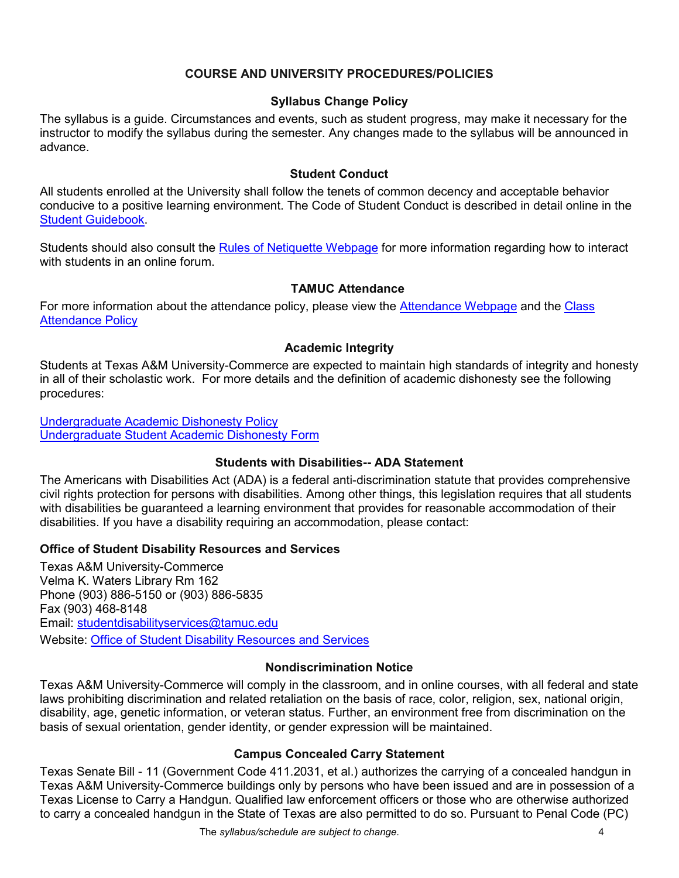## **COURSE AND UNIVERSITY PROCEDURES/POLICIES**

#### **Syllabus Change Policy**

The syllabus is a guide. Circumstances and events, such as student progress, may make it necessary for the instructor to modify the syllabus during the semester. Any changes made to the syllabus will be announced in advance.

#### **Student Conduct**

All students enrolled at the University shall follow the tenets of common decency and acceptable behavior conducive to a positive learning environment. The Code of Student Conduct is described in detail online in the [Student Guidebook](http://www.tamuc.edu/Admissions/oneStopShop/undergraduateAdmissions/studentGuidebook.aspx).

Students should also consult the [Rules of Netiquette Webpage](https://www.britannica.com/topic/netiquette) for more information regarding how to interact with students in an online forum.

## **TAMUC Attendance**

For more information about the attendance policy, please view the [Attendance](http://www.tamuc.edu/admissions/registrar/generalInformation/attendance.aspx) [Webpage](http://www.tamuc.edu/admissions/registrar/generalInformation/attendance.aspx) and the [Class](http://www.tamuc.edu/aboutUs/policiesProceduresStandardsStatements/rulesProcedures/13students/academic/13.99.99.R0.01.pdf)  [Attendance Policy](http://www.tamuc.edu/aboutUs/policiesProceduresStandardsStatements/rulesProcedures/13students/academic/13.99.99.R0.01.pdf)

#### **Academic Integrity**

Students at Texas A&M University-Commerce are expected to maintain high standards of integrity and honesty in all of their scholastic work. For more details and the definition of academic dishonesty see the following procedures:

[Undergraduate Academic Dishonesty P](http://www.tamuc.edu/aboutUs/policiesProceduresStandardsStatements/rulesProcedures/13students/undergraduates/13.99.99.R0.03UndergraduateAcademicDishonesty.pdf)olicy [Undergraduate Student Academic Dishonesty Form](http://www.tamuc.edu/aboutUs/policiesProceduresStandardsStatements/rulesProcedures/documents/13.99.99.R0.03UndergraduateStudentAcademicDishonestyForm.pdf)

#### **Students with Disabilities-- ADA Statement**

The Americans with Disabilities Act (ADA) is a federal anti-discrimination statute that provides comprehensive civil rights protection for persons with disabilities. Among other things, this legislation requires that all students with disabilities be guaranteed a learning environment that provides for reasonable accommodation of their disabilities. If you have a disability requiring an accommodation, please contact:

#### **Office of Student Disability Resources and Services**

Texas A&M University-Commerce Velma K. Waters Library Rm 162 Phone (903) 886-5150 or (903) 886-5835 Fax (903) 468-8148 Email: [studentdisabilityservices@tamuc.edu](mailto:studentdisabilityservices@tamuc.edu) Website: [Office of Student Disability Resources and Services](http://www.tamuc.edu/campusLife/campusServices/studentDisabilityResourcesAndServices/)

#### **Nondiscrimination Notice**

Texas A&M University-Commerce will comply in the classroom, and in online courses, with all federal and state laws prohibiting discrimination and related retaliation on the basis of race, color, religion, sex, national origin, disability, age, genetic information, or veteran status. Further, an environment free from discrimination on the basis of sexual orientation, gender identity, or gender expression will be maintained.

#### **Campus Concealed Carry Statement**

Texas Senate Bill - 11 (Government Code 411.2031, et al.) authorizes the carrying of a concealed handgun in Texas A&M University-Commerce buildings only by persons who have been issued and are in possession of a Texas License to Carry a Handgun. Qualified law enforcement officers or those who are otherwise authorized to carry a concealed handgun in the State of Texas are also permitted to do so. Pursuant to Penal Code (PC)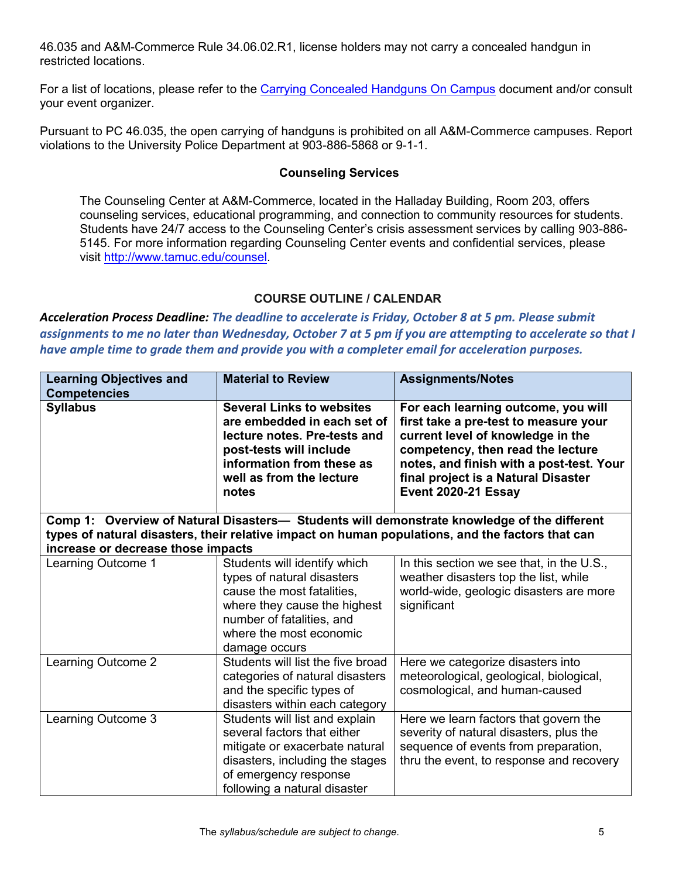46.035 and A&M-Commerce Rule 34.06.02.R1, license holders may not carry a concealed handgun in restricted locations.

For a list of locations, please refer to the [Carrying Concealed Handguns On Campus](http://www.tamuc.edu/aboutUs/policiesProceduresStandardsStatements/rulesProcedures/34SafetyOfEmployeesAndStudents/34.06.02.R1.pdf) document and/or consult your event organizer.

Pursuant to PC 46.035, the open carrying of handguns is prohibited on all A&M-Commerce campuses. Report violations to the University Police Department at 903-886-5868 or 9-1-1.

#### **Counseling Services**

The Counseling Center at A&M-Commerce, located in the Halladay Building, Room 203, offers counseling services, educational programming, and connection to community resources for students. Students have 24/7 access to the Counseling Center's crisis assessment services by calling 903-886- 5145. For more information regarding Counseling Center events and confidential services, please visit [http://www.tamuc.edu/counsel](https://outlook.tamuc.edu/owa/redir.aspx?C=lrbS7kTm7A3wcy4wrQcmm9b90uemxzdMBpS6zcikS01FvkbHOmPZCA..&URL=http://www.tamuc.edu/counsel).

# **COURSE OUTLINE / CALENDAR**

*Acceleration Process Deadline: The deadline to accelerate is Friday, October 8 at 5 pm. Please submit assignments to me no later than Wednesday, October 7 at 5 pm if you are attempting to accelerate so that I have ample time to grade them and provide you with a completer email for acceleration purposes.*

| <b>Learning Objectives and</b><br><b>Competencies</b>                                                                                                                                                                                 | <b>Material to Review</b>                                                                                                                                                                         | <b>Assignments/Notes</b>                                                                                                                                                                                                                                         |  |
|---------------------------------------------------------------------------------------------------------------------------------------------------------------------------------------------------------------------------------------|---------------------------------------------------------------------------------------------------------------------------------------------------------------------------------------------------|------------------------------------------------------------------------------------------------------------------------------------------------------------------------------------------------------------------------------------------------------------------|--|
| <b>Syllabus</b>                                                                                                                                                                                                                       | <b>Several Links to websites</b><br>are embedded in each set of<br>lecture notes. Pre-tests and<br>post-tests will include<br>information from these as<br>well as from the lecture<br>notes      | For each learning outcome, you will<br>first take a pre-test to measure your<br>current level of knowledge in the<br>competency, then read the lecture<br>notes, and finish with a post-test. Your<br>final project is a Natural Disaster<br>Event 2020-21 Essay |  |
| Comp 1: Overview of Natural Disasters- Students will demonstrate knowledge of the different<br>types of natural disasters, their relative impact on human populations, and the factors that can<br>increase or decrease those impacts |                                                                                                                                                                                                   |                                                                                                                                                                                                                                                                  |  |
| Learning Outcome 1                                                                                                                                                                                                                    | Students will identify which<br>types of natural disasters<br>cause the most fatalities,<br>where they cause the highest<br>number of fatalities, and<br>where the most economic<br>damage occurs | In this section we see that, in the U.S.,<br>weather disasters top the list, while<br>world-wide, geologic disasters are more<br>significant                                                                                                                     |  |
| Learning Outcome 2                                                                                                                                                                                                                    | Students will list the five broad<br>categories of natural disasters<br>and the specific types of<br>disasters within each category                                                               | Here we categorize disasters into<br>meteorological, geological, biological,<br>cosmological, and human-caused                                                                                                                                                   |  |
| Learning Outcome 3                                                                                                                                                                                                                    | Students will list and explain<br>several factors that either<br>mitigate or exacerbate natural<br>disasters, including the stages<br>of emergency response<br>following a natural disaster       | Here we learn factors that govern the<br>severity of natural disasters, plus the<br>sequence of events from preparation,<br>thru the event, to response and recovery                                                                                             |  |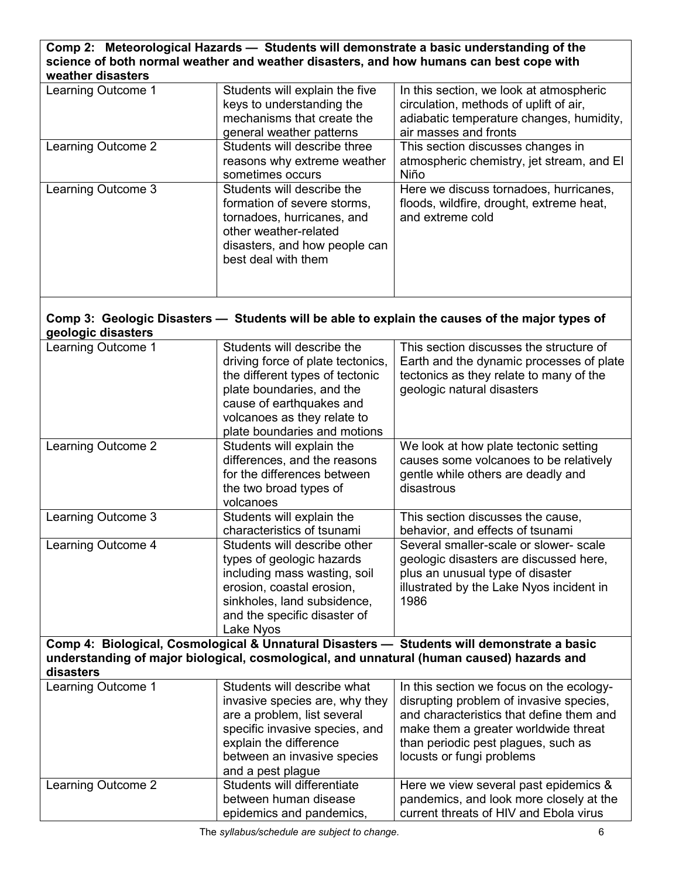# **Comp 2: Meteorological Hazards — Students will demonstrate a basic understanding of the science of both normal weather and weather disasters, and how humans can best cope with weather disasters**

| Learning Outcome 1 | Students will explain the five<br>keys to understanding the<br>mechanisms that create the<br>general weather patterns                                                    | In this section, we look at atmospheric<br>circulation, methods of uplift of air,<br>adiabatic temperature changes, humidity,<br>air masses and fronts |
|--------------------|--------------------------------------------------------------------------------------------------------------------------------------------------------------------------|--------------------------------------------------------------------------------------------------------------------------------------------------------|
| Learning Outcome 2 | Students will describe three<br>reasons why extreme weather<br>sometimes occurs                                                                                          | This section discusses changes in<br>atmospheric chemistry, jet stream, and El<br>Niño                                                                 |
| Learning Outcome 3 | Students will describe the<br>formation of severe storms.<br>tornadoes, hurricanes, and<br>other weather-related<br>disasters, and how people can<br>best deal with them | Here we discuss tornadoes, hurricanes,<br>floods, wildfire, drought, extreme heat,<br>and extreme cold                                                 |

# **Comp 3: Geologic Disasters — Students will be able to explain the causes of the major types of geologic disasters**

| Learning Outcome 1                                                                                                                                                                                   | Students will describe the<br>driving force of plate tectonics,<br>the different types of tectonic<br>plate boundaries, and the<br>cause of earthquakes and<br>volcanoes as they relate to<br>plate boundaries and motions | This section discusses the structure of<br>Earth and the dynamic processes of plate<br>tectonics as they relate to many of the<br>geologic natural disasters                                                                                |
|------------------------------------------------------------------------------------------------------------------------------------------------------------------------------------------------------|----------------------------------------------------------------------------------------------------------------------------------------------------------------------------------------------------------------------------|---------------------------------------------------------------------------------------------------------------------------------------------------------------------------------------------------------------------------------------------|
| Learning Outcome 2                                                                                                                                                                                   | Students will explain the<br>differences, and the reasons<br>for the differences between<br>the two broad types of<br>volcanoes                                                                                            | We look at how plate tectonic setting<br>causes some volcanoes to be relatively<br>gentle while others are deadly and<br>disastrous                                                                                                         |
| Learning Outcome 3                                                                                                                                                                                   | Students will explain the<br>characteristics of tsunami                                                                                                                                                                    | This section discusses the cause,<br>behavior, and effects of tsunami                                                                                                                                                                       |
| Learning Outcome 4                                                                                                                                                                                   | Students will describe other<br>types of geologic hazards<br>including mass wasting, soil<br>erosion, coastal erosion,<br>sinkholes, land subsidence,<br>and the specific disaster of<br>Lake Nyos                         | Several smaller-scale or slower- scale<br>geologic disasters are discussed here,<br>plus an unusual type of disaster<br>illustrated by the Lake Nyos incident in<br>1986                                                                    |
| Comp 4: Biological, Cosmological & Unnatural Disasters - Students will demonstrate a basic<br>understanding of major biological, cosmological, and unnatural (human caused) hazards and<br>disasters |                                                                                                                                                                                                                            |                                                                                                                                                                                                                                             |
| Learning Outcome 1                                                                                                                                                                                   | Students will describe what<br>invasive species are, why they<br>are a problem, list several<br>specific invasive species, and<br>explain the difference<br>between an invasive species<br>and a pest plague               | In this section we focus on the ecology-<br>disrupting problem of invasive species,<br>and characteristics that define them and<br>make them a greater worldwide threat<br>than periodic pest plagues, such as<br>locusts or fungi problems |
| Learning Outcome 2                                                                                                                                                                                   | Students will differentiate<br>between human disease<br>epidemics and pandemics,                                                                                                                                           | Here we view several past epidemics &<br>pandemics, and look more closely at the<br>current threats of HIV and Ebola virus                                                                                                                  |